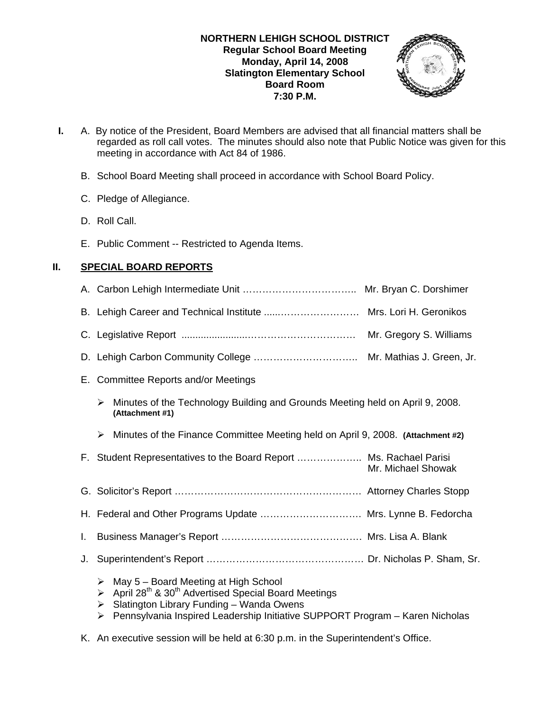

- **I.** A. By notice of the President, Board Members are advised that all financial matters shall be regarded as roll call votes. The minutes should also note that Public Notice was given for this meeting in accordance with Act 84 of 1986.
	- B. School Board Meeting shall proceed in accordance with School Board Policy.
	- C. Pledge of Allegiance.
	- D. Roll Call.
	- E. Public Comment -- Restricted to Agenda Items.

# **II. SPECIAL BOARD REPORTS**

|    | B. Lehigh Career and Technical Institute  Mrs. Lori H. Geronikos                                                                                                                                                                                                    |
|----|---------------------------------------------------------------------------------------------------------------------------------------------------------------------------------------------------------------------------------------------------------------------|
|    | Mr. Gregory S. Williams                                                                                                                                                                                                                                             |
|    | Mr. Mathias J. Green, Jr.                                                                                                                                                                                                                                           |
|    | E. Committee Reports and/or Meetings                                                                                                                                                                                                                                |
|    | Minutes of the Technology Building and Grounds Meeting held on April 9, 2008.<br>➤<br>(Attachment #1)                                                                                                                                                               |
|    | Minutes of the Finance Committee Meeting held on April 9, 2008. (Attachment #2)<br>➤                                                                                                                                                                                |
|    | F. Student Representatives to the Board Report  Ms. Rachael Parisi<br>Mr. Michael Showak                                                                                                                                                                            |
|    |                                                                                                                                                                                                                                                                     |
|    | H. Federal and Other Programs Update  Mrs. Lynne B. Fedorcha                                                                                                                                                                                                        |
| L. |                                                                                                                                                                                                                                                                     |
| J. |                                                                                                                                                                                                                                                                     |
|    | May 5 - Board Meeting at High School<br>⋗<br>April 28 <sup>th</sup> & 30 <sup>th</sup> Advertised Special Board Meetings<br>➤<br>Slatington Library Funding - Wanda Owens<br>➤<br>Pennsylvania Inspired Leadership Initiative SUPPORT Program - Karen Nicholas<br>➤ |
|    |                                                                                                                                                                                                                                                                     |

K. An executive session will be held at 6:30 p.m. in the Superintendent's Office.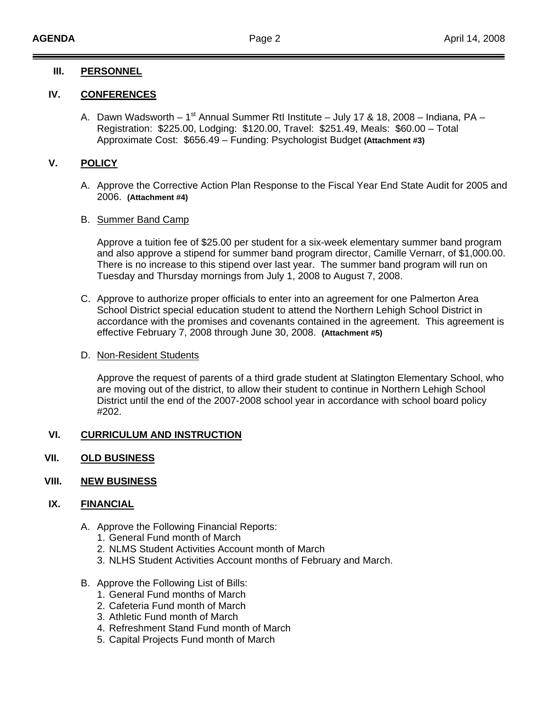## **III. PERSONNEL**

## **IV. CONFERENCES**

A. Dawn Wadsworth – 1<sup>st</sup> Annual Summer RtI Institute – July 17 & 18, 2008 – Indiana, PA – Registration: \$225.00, Lodging: \$120.00, Travel: \$251.49, Meals: \$60.00 – Total Approximate Cost: \$656.49 – Funding: Psychologist Budget **(Attachment #3)**

# **V. POLICY**

A. Approve the Corrective Action Plan Response to the Fiscal Year End State Audit for 2005 and 2006. **(Attachment #4)**

#### B. Summer Band Camp

 Approve a tuition fee of \$25.00 per student for a six-week elementary summer band program and also approve a stipend for summer band program director, Camille Vernarr, of \$1,000.00. There is no increase to this stipend over last year. The summer band program will run on Tuesday and Thursday mornings from July 1, 2008 to August 7, 2008.

C. Approve to authorize proper officials to enter into an agreement for one Palmerton Area School District special education student to attend the Northern Lehigh School District in accordance with the promises and covenants contained in the agreement. This agreement is effective February 7, 2008 through June 30, 2008. **(Attachment #5)**

#### D. Non-Resident Students

 Approve the request of parents of a third grade student at Slatington Elementary School, who are moving out of the district, to allow their student to continue in Northern Lehigh School District until the end of the 2007-2008 school year in accordance with school board policy #202.

# **VI. CURRICULUM AND INSTRUCTION**

**VII. OLD BUSINESS**

## **VIII. NEW BUSINESS**

#### **IX. FINANCIAL**

- A. Approve the Following Financial Reports:
	- 1. General Fund month of March
	- 2. NLMS Student Activities Account month of March
	- 3. NLHS Student Activities Account months of February and March.
- B. Approve the Following List of Bills:
	- 1. General Fund months of March
	- 2. Cafeteria Fund month of March
	- 3. Athletic Fund month of March
	- 4. Refreshment Stand Fund month of March
	- 5. Capital Projects Fund month of March